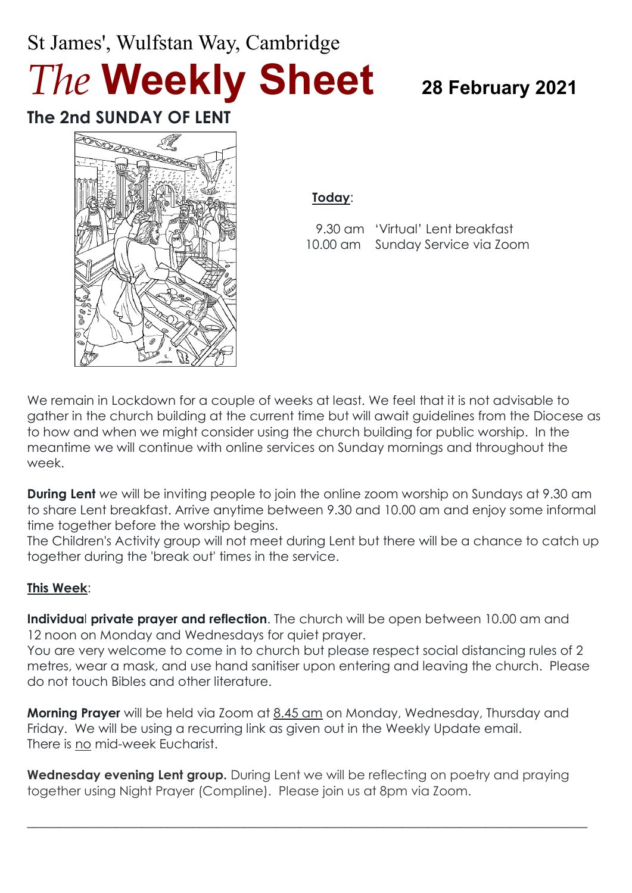# St James', Wulfstan Way, Cambridge *The* **Weekly Sheet <sup>28</sup> February <sup>2021</sup>**

# **The 2nd SUNDAY OF LENT**



#### **Today**:

 9.30 am 'Virtual' Lent breakfast 10.00 am Sunday Service via Zoom

We remain in Lockdown for a couple of weeks at least. We feel that it is not advisable to gather in the church building at the current time but will await guidelines from the Diocese as to how and when we might consider using the church building for public worship. In the meantime we will continue with online services on Sunday mornings and throughout the week.

**During Lent** *we* will be inviting people to join the online zoom worship on Sundays at 9.30 am to share Lent breakfast. Arrive anytime between 9.30 and 10.00 am and enjoy some informal time together before the worship begins.

The Children's Activity group will not meet during Lent but there will be a chance to catch up together during the 'break out' times in the service.

#### **This Week**:

**Individua**l **private prayer and reflection**. The church will be open between 10.00 am and 12 noon on Monday and Wednesdays for quiet prayer.

You are very welcome to come in to church but please respect social distancing rules of 2 metres, wear a mask, and use hand sanitiser upon entering and leaving the church. Please do not touch Bibles and other literature.

**Morning Prayer** will be held via Zoom at 8.45 am on Monday, Wednesday, Thursday and Friday. We will be using a recurring link as given out in the Weekly Update email. There is no mid-week Eucharist.

**Wednesday evening Lent group.** During Lent we will be reflecting on poetry and praying together using Night Prayer (Compline). Please join us at 8pm via Zoom.

 $\_$  , and the set of the set of the set of the set of the set of the set of the set of the set of the set of the set of the set of the set of the set of the set of the set of the set of the set of the set of the set of th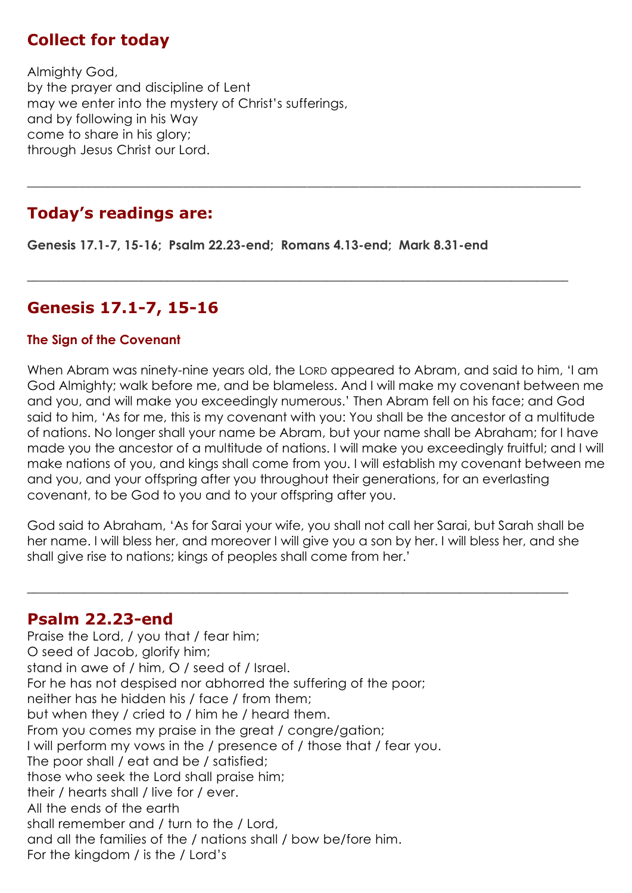# **Collect for today**

Almighty God, by the prayer and discipline of Lent may we enter into the mystery of Christ's sufferings, and by following in his Way come to share in his glory; through Jesus Christ our Lord.

### **Today's readings are:**

**Genesis 17.1-7, 15-16; Psalm 22.23-end; Romans 4.13-end; Mark 8.31-end**

\_\_\_\_\_\_\_\_\_\_\_\_\_\_\_\_\_\_\_\_\_\_\_\_\_\_\_\_\_\_\_\_\_\_\_\_\_\_\_\_\_\_\_\_\_\_\_\_\_\_\_\_\_\_\_\_\_\_\_\_\_\_\_\_\_\_\_\_\_\_\_\_\_\_\_\_\_\_\_\_\_\_\_\_\_

 $\_$  , and the set of the set of the set of the set of the set of the set of the set of the set of the set of the set of the set of the set of the set of the set of the set of the set of the set of the set of the set of th

## **Genesis 17.1-7, 15-16**

#### **The Sign of the Covenant**

When Abram was ninety-nine years old, the LORD appeared to Abram, and said to him, 'I am God Almighty; walk before me, and be blameless. And I will make my covenant between me and you, and will make you exceedingly numerous.' Then Abram fell on his face; and God said to him, 'As for me, this is my covenant with you: You shall be the ancestor of a multitude of nations. No longer shall your name be Abram, but your name shall be Abraham; for I have made you the ancestor of a multitude of nations. I will make you exceedingly fruitful; and I will make nations of you, and kings shall come from you. I will establish my covenant between me and you, and your offspring after you throughout their generations, for an everlasting covenant, to be God to you and to your offspring after you.

God said to Abraham, 'As for Sarai your wife, you shall not call her Sarai, but Sarah shall be her name. I will bless her, and moreover I will give you a son by her. I will bless her, and she shall give rise to nations; kings of peoples shall come from her.'

 $\_$  , and the set of the set of the set of the set of the set of the set of the set of the set of the set of the set of the set of the set of the set of the set of the set of the set of the set of the set of the set of th

#### **Psalm 22.23-end**

Praise the Lord, / you that / fear him; O seed of Jacob, glorify him; stand in awe of / him, O / seed of / Israel. For he has not despised nor abhorred the suffering of the poor; neither has he hidden his / face / from them; but when they / cried to / him he / heard them. From you comes my praise in the great / congre/gation; I will perform my vows in the / presence of / those that / fear you. The poor shall / eat and be / satisfied; those who seek the Lord shall praise him; their / hearts shall / live for / ever. All the ends of the earth shall remember and / turn to the / Lord, and all the families of the / nations shall / bow be/fore him. For the kingdom / is the / Lord's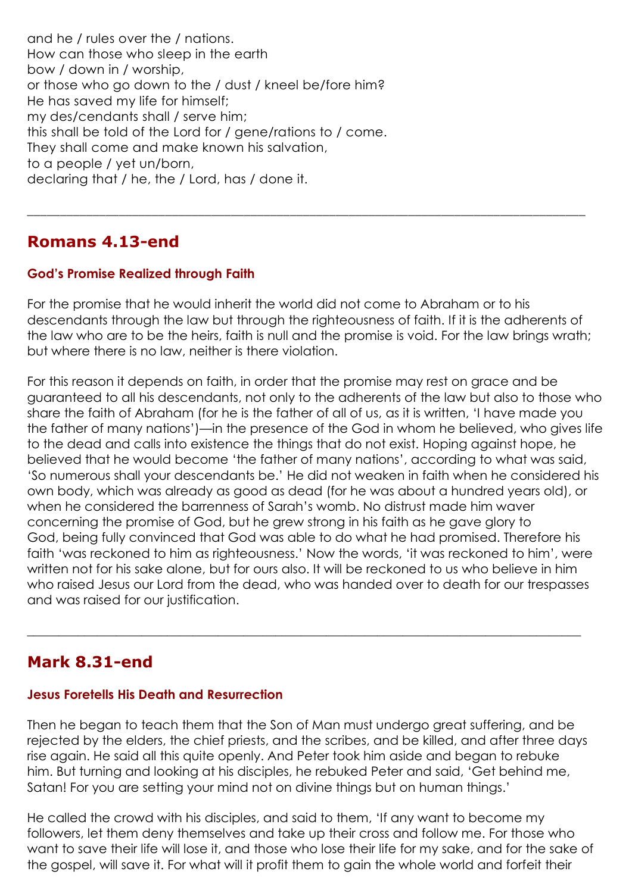and he / rules over the / nations. How can those who sleep in the earth bow / down in / worship, or those who go down to the / dust / kneel be/fore him? He has saved my life for himself; my des/cendants shall / serve him; this shall be told of the Lord for / gene/rations to / come. They shall come and make known his salvation, to a people / yet un/born, declaring that / he, the / Lord, has / done it.

# **Romans 4.13-end**

#### **God's Promise Realized through Faith**

For the promise that he would inherit the world did not come to Abraham or to his descendants through the law but through the righteousness of faith. If it is the adherents of the law who are to be the heirs, faith is null and the promise is void. For the law brings wrath; but where there is no law, neither is there violation.

\_\_\_\_\_\_\_\_\_\_\_\_\_\_\_\_\_\_\_\_\_\_\_\_\_\_\_\_\_\_\_\_\_\_\_\_\_\_\_\_\_\_\_\_\_\_\_\_\_\_\_\_\_\_\_\_\_\_\_\_\_\_\_\_\_\_\_\_\_\_\_\_\_\_\_\_\_\_\_\_\_\_\_\_\_

For this reason it depends on faith, in order that the promise may rest on grace and be guaranteed to all his descendants, not only to the adherents of the law but also to those who share the faith of Abraham (for he is the father of all of us, as it is written, 'I have made you the father of many nations')—in the presence of the God in whom he believed, who gives life to the dead and calls into existence the things that do not exist. Hoping against hope, he believed that he would become 'the father of many nations', according to what was said, 'So numerous shall your descendants be.' He did not weaken in faith when he considered his own body, which was already as good as dead (for he was about a hundred years old), or when he considered the barrenness of Sarah's womb. No distrust made him waver concerning the promise of God, but he grew strong in his faith as he gave glory to God, being fully convinced that God was able to do what he had promised. Therefore his faith 'was reckoned to him as righteousness.' Now the words, 'it was reckoned to him', were written not for his sake alone, but for ours also. It will be reckoned to us who believe in him who raised Jesus our Lord from the dead, who was handed over to death for our trespasses and was raised for our justification.

# **Mark 8.31-end**

#### **Jesus Foretells His Death and Resurrection**

Then he began to teach them that the Son of Man must undergo great suffering, and be rejected by the elders, the chief priests, and the scribes, and be killed, and after three days rise again. He said all this quite openly. And Peter took him aside and began to rebuke him. But turning and looking at his disciples, he rebuked Peter and said, 'Get behind me, Satan! For you are setting your mind not on divine things but on human things.'

 $\_$  , and the set of the set of the set of the set of the set of the set of the set of the set of the set of the set of the set of the set of the set of the set of the set of the set of the set of the set of the set of th

He called the crowd with his disciples, and said to them, 'If any want to become my followers, let them deny themselves and take up their cross and follow me. For those who want to save their life will lose it, and those who lose their life for my sake, and for the sake of the gospel, will save it. For what will it profit them to gain the whole world and forfeit their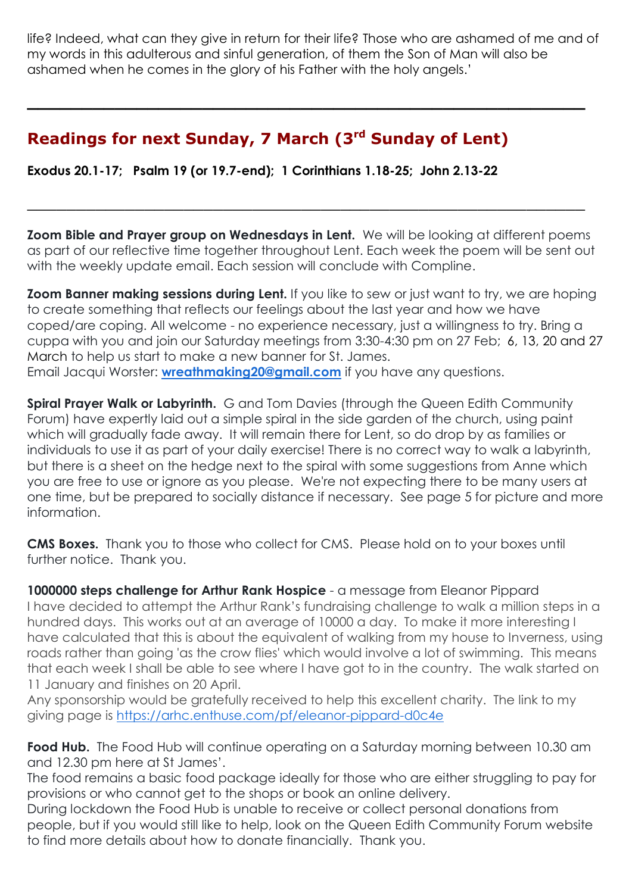life? Indeed, what can they give in return for their life? Those who are ashamed of me and of my words in this adulterous and sinful generation, of them the Son of Man will also be ashamed when he comes in the glory of his Father with the holy angels.'

**\_\_\_\_\_\_\_\_\_\_\_\_\_\_\_\_\_\_\_\_\_\_\_\_\_\_\_\_\_\_\_\_\_\_\_\_\_\_\_\_\_\_\_\_\_\_\_\_\_\_\_**

# **Readings for next Sunday, 7 March (3 rd Sunday of Lent)**

**Exodus 20.1-17; Psalm 19 (or 19.7-end); 1 Corinthians 1.18-25; John 2.13-22**

**Zoom Bible and Prayer group on Wednesdays in Lent.** We will be looking at different poems as part of our reflective time together throughout Lent. Each week the poem will be sent out with the weekly update email. Each session will conclude with Compline.

\_\_\_\_\_\_\_\_\_\_\_\_\_\_\_\_\_\_\_\_\_\_\_\_\_\_\_\_\_\_\_\_\_\_\_\_\_\_\_\_\_\_\_\_\_\_\_\_\_\_\_\_\_\_\_\_\_

**Zoom Banner making sessions during Lent.** If you like to sew or just want to try, we are hoping to create something that reflects our feelings about the last year and how we have coped/are coping. All welcome - no experience necessary, just a willingness to try. Bring a cuppa with you and join our Saturday meetings from 3:30-4:30 pm on 27 Feb; 6, 13, 20 and 27 March to help us start to make a new banner for St. James. Email Jacqui Worster: **[wreathmaking20@gmail.com](mailto:wreathmaking20@gmail.com)** if you have any questions.

**Spiral Prayer Walk or Labyrinth.** G and Tom Davies (through the Queen Edith Community Forum) have expertly laid out a simple spiral in the side garden of the church, using paint which will gradually fade away. It will remain there for Lent, so do drop by as families or individuals to use it as part of your daily exercise! There is no correct way to walk a labyrinth, but there is a sheet on the hedge next to the spiral with some suggestions from Anne which you are free to use or ignore as you please. We're not expecting there to be many users at one time, but be prepared to socially distance if necessary. See page 5 for picture and more information.

**CMS Boxes.** Thank you to those who collect for CMS. Please hold on to your boxes until further notice. Thank you.

**1000000 steps challenge for Arthur Rank Hospice** - a message from Eleanor Pippard I have decided to attempt the Arthur Rank's fundraising challenge to walk a million steps in a hundred days. This works out at an average of 10000 a day. To make it more interesting I have calculated that this is about the equivalent of walking from my house to Inverness, using roads rather than going 'as the crow flies' which would involve a lot of swimming. This means that each week I shall be able to see where I have got to in the country. The walk started on 11 January and finishes on 20 April.

Any sponsorship would be gratefully received to help this excellent charity. The link to my giving page is <https://arhc.enthuse.com/pf/eleanor-pippard-d0c4e>

**Food Hub.** The Food Hub will continue operating on a Saturday morning between 10.30 am and 12.30 pm here at St James'.

The food remains a basic food package ideally for those who are either struggling to pay for provisions or who cannot get to the shops or book an online delivery.

During lockdown the Food Hub is unable to receive or collect personal donations from people, but if you would still like to help, look on the Queen Edith Community Forum website to find more details about how to donate financially. Thank you.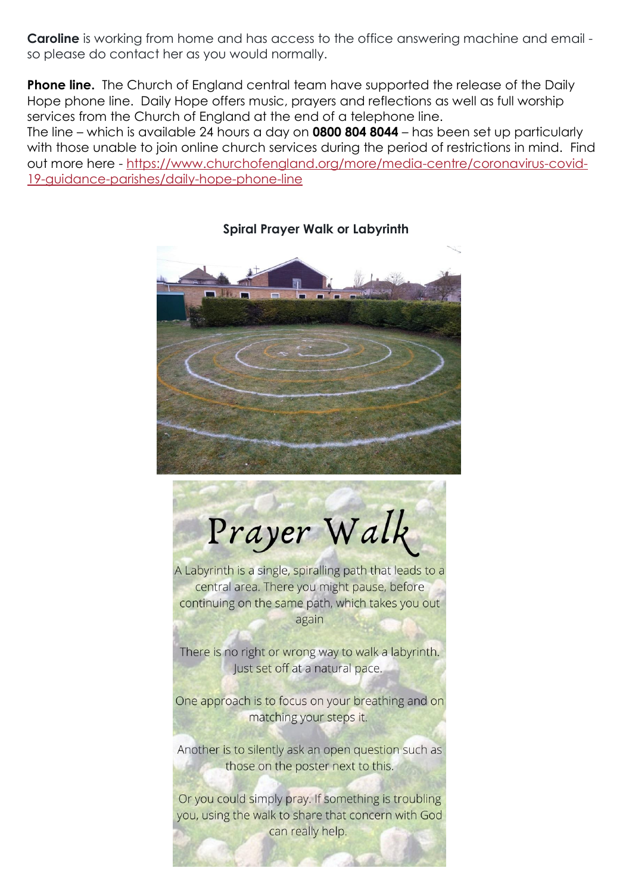**Caroline** is working from home and has access to the office answering machine and email so please do contact her as you would normally.

**Phone line.** The Church of England central team have supported the release of the Daily Hope phone line. Daily Hope offers music, prayers and reflections as well as full worship services from the Church of England at the end of a telephone line.

The line – which is available 24 hours a day on **0800 804 8044** – has been set up particularly with those unable to join online church services during the period of restrictions in mind. Find out more here - [https://www.churchofengland.org/more/media-centre/coronavirus-covid-](https://www.churchofengland.org/more/media-centre/coronavirus-covid-19-guidance-parishes/daily-hope-phone-line)[19-guidance-parishes/daily-hope-phone-line](https://www.churchofengland.org/more/media-centre/coronavirus-covid-19-guidance-parishes/daily-hope-phone-line)



#### **Spiral Prayer Walk or Labyrinth**

Prayer Walk

A Labyrinth is a single, spiralling path that leads to a central area. There you might pause, before continuing on the same path, which takes you out again

There is no right or wrong way to walk a labyrinth. lust set off at a natural pace.

One approach is to focus on your breathing and on matching your steps it.

Another is to silently ask an open question such as those on the poster next to this.

Or you could simply pray. If something is troubling you, using the walk to share that concern with God can really help.